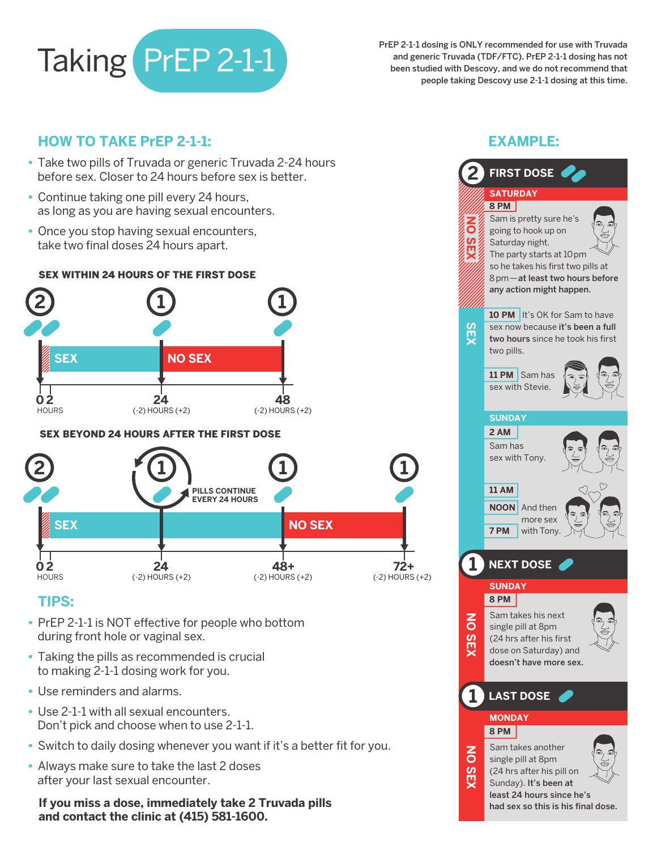

PrEP 2-1-1 dosing is ONLY recommended for use with Truvada and generic Truvada (TDF/FTC). PrEP 2-1-1 dosing has not been studied with Descovy, and we do not recommend that people taking Descovy use 2-1-1 dosing at this time.

### **HOW TO TAKE PrEP 2-1-1:**

- Take two pills of Truvada or generic Truvada 2-24 hours before sex. Closer to 24 hours before sex is better.
- Continue taking one pill every 24 hours, as long as you are having sexual encounters.
- Once you stop having sexual encounters, take two final doses 24 hours apart.

#### SEX WITHIN 24 HOURS OF THE FIRST DOSE



#### SEX BEYOND 24 HOURS AFTER THE FIRST DOSE



## **TIPS:**

- PrEP 2-1-1 is NOT effective for people who bottom during front hole or vaginal sex.
- Taking the pills as recommended is crucial to making 2-1-1 dosing work for you.
- Use reminders and alarms.
- Use 2-1-1 with all sexual encounters. Don't pick and choose when to use 2-1-1.
- Switch to daily dosing whenever you want if it's a better fit for you.
- Always make sure to take the last 2 doses after your last sexual encounter.

**If you miss a dose, immediately take 2 Truvada pills and contact the clinic at (415) 581-1600.**

|       | <b>EXAMPLE:</b>                                                                                                                                                          |  |  |
|-------|--------------------------------------------------------------------------------------------------------------------------------------------------------------------------|--|--|
|       | <b>FIRST DOSE</b>                                                                                                                                                        |  |  |
|       | <b>SATURDAY</b>                                                                                                                                                          |  |  |
|       | 8 PM                                                                                                                                                                     |  |  |
|       | Sam is pretty sure he's                                                                                                                                                  |  |  |
|       | going to hook up on<br>Saturday night.<br>The party starts at 10pm<br>so he takes his first two pills at<br>8 pm - at least two hours before<br>any action might happen. |  |  |
|       |                                                                                                                                                                          |  |  |
|       |                                                                                                                                                                          |  |  |
|       |                                                                                                                                                                          |  |  |
|       |                                                                                                                                                                          |  |  |
|       |                                                                                                                                                                          |  |  |
|       | <b>10 PM</b> It's OK for Sam to have                                                                                                                                     |  |  |
|       | sex now because it's been a full                                                                                                                                         |  |  |
|       | two hours since he took his first                                                                                                                                        |  |  |
|       | two pills.                                                                                                                                                               |  |  |
|       |                                                                                                                                                                          |  |  |
|       | 11 PM<br>Sam has                                                                                                                                                         |  |  |
|       | sex with Stevie.                                                                                                                                                         |  |  |
|       |                                                                                                                                                                          |  |  |
|       | <b>SUNDAY</b>                                                                                                                                                            |  |  |
|       | 2 AM                                                                                                                                                                     |  |  |
|       | Sam has                                                                                                                                                                  |  |  |
|       | sex with Tony.                                                                                                                                                           |  |  |
|       |                                                                                                                                                                          |  |  |
|       | <b>11 AM</b>                                                                                                                                                             |  |  |
|       |                                                                                                                                                                          |  |  |
|       | <b>NOON</b><br>And then<br>more sex                                                                                                                                      |  |  |
|       | 7 PM<br>with Tony.                                                                                                                                                       |  |  |
|       |                                                                                                                                                                          |  |  |
|       |                                                                                                                                                                          |  |  |
|       | <b>NEXT DOSE</b>                                                                                                                                                         |  |  |
|       | <b>SUNDAY</b>                                                                                                                                                            |  |  |
|       | 8 PM                                                                                                                                                                     |  |  |
|       |                                                                                                                                                                          |  |  |
|       | Sam takes his next<br>37<br>single pill at 8pm                                                                                                                           |  |  |
|       | (24 hrs after his first                                                                                                                                                  |  |  |
|       | dose on Saturday) and                                                                                                                                                    |  |  |
|       | doesn't have more sex.                                                                                                                                                   |  |  |
|       |                                                                                                                                                                          |  |  |
|       | <b>LAST DOSE</b>                                                                                                                                                         |  |  |
|       |                                                                                                                                                                          |  |  |
|       | <b>MONDAY</b>                                                                                                                                                            |  |  |
|       | 8 PM                                                                                                                                                                     |  |  |
|       | Sam takes another                                                                                                                                                        |  |  |
| is or | single pill at 8pm                                                                                                                                                       |  |  |
|       | (24 hrs after his pill on                                                                                                                                                |  |  |
|       | Sunday). It's been at                                                                                                                                                    |  |  |
|       | least 24 hours since he's                                                                                                                                                |  |  |
|       | had sex so this is his final dose.                                                                                                                                       |  |  |